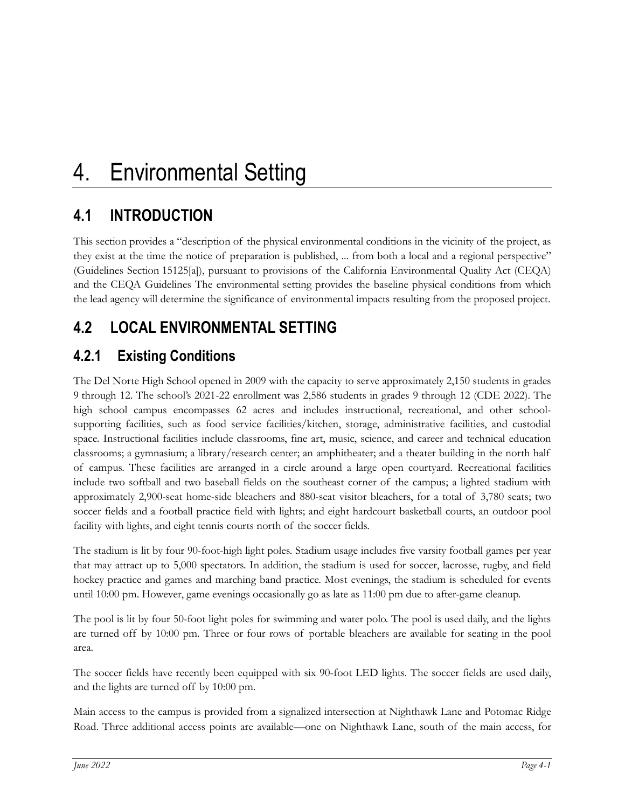# **4.1 INTRODUCTION**

This section provides a "description of the physical environmental conditions in the vicinity of the project, as they exist at the time the notice of preparation is published, ... from both a local and a regional perspective" (Guidelines Section 15125[a]), pursuant to provisions of the California Environmental Quality Act (CEQA) and the CEQA Guidelines The environmental setting provides the baseline physical conditions from which the lead agency will determine the significance of environmental impacts resulting from the proposed project.

# **4.2 LOCAL ENVIRONMENTAL SETTING**

# **4.2.1 Existing Conditions**

The Del Norte High School opened in 2009 with the capacity to serve approximately 2,150 students in grades 9 through 12. The school's 2021-22 enrollment was 2,586 students in grades 9 through 12 (CDE 2022). The high school campus encompasses 62 acres and includes instructional, recreational, and other schoolsupporting facilities, such as food service facilities/kitchen, storage, administrative facilities, and custodial space. Instructional facilities include classrooms, fine art, music, science, and career and technical education classrooms; a gymnasium; a library/research center; an amphitheater; and a theater building in the north half of campus. These facilities are arranged in a circle around a large open courtyard. Recreational facilities include two softball and two baseball fields on the southeast corner of the campus; a lighted stadium with approximately 2,900-seat home-side bleachers and 880-seat visitor bleachers, for a total of 3,780 seats; two soccer fields and a football practice field with lights; and eight hardcourt basketball courts, an outdoor pool facility with lights, and eight tennis courts north of the soccer fields.

The stadium is lit by four 90-foot-high light poles. Stadium usage includes five varsity football games per year that may attract up to 5,000 spectators. In addition, the stadium is used for soccer, lacrosse, rugby, and field hockey practice and games and marching band practice. Most evenings, the stadium is scheduled for events until 10:00 pm. However, game evenings occasionally go as late as 11:00 pm due to after-game cleanup.

The pool is lit by four 50-foot light poles for swimming and water polo. The pool is used daily, and the lights are turned off by 10:00 pm. Three or four rows of portable bleachers are available for seating in the pool area.

The soccer fields have recently been equipped with six 90-foot LED lights. The soccer fields are used daily, and the lights are turned off by 10:00 pm.

Main access to the campus is provided from a signalized intersection at Nighthawk Lane and Potomac Ridge Road. Three additional access points are available—one on Nighthawk Lane, south of the main access, for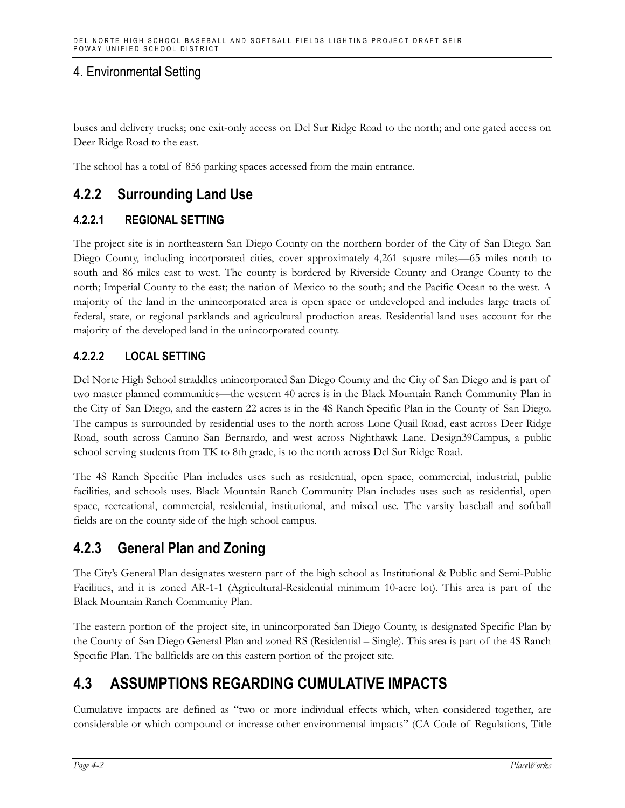buses and delivery trucks; one exit-only access on Del Sur Ridge Road to the north; and one gated access on Deer Ridge Road to the east.

The school has a total of 856 parking spaces accessed from the main entrance.

## **4.2.2 Surrounding Land Use**

#### **4.2.2.1 REGIONAL SETTING**

The project site is in northeastern San Diego County on the northern border of the City of San Diego. San Diego County, including incorporated cities, cover approximately 4,261 square miles—65 miles north to south and 86 miles east to west. The county is bordered by Riverside County and Orange County to the north; Imperial County to the east; the nation of Mexico to the south; and the Pacific Ocean to the west. A majority of the land in the unincorporated area is open space or undeveloped and includes large tracts of federal, state, or regional parklands and agricultural production areas. Residential land uses account for the majority of the developed land in the unincorporated county.

#### **4.2.2.2 LOCAL SETTING**

Del Norte High School straddles unincorporated San Diego County and the City of San Diego and is part of two master planned communities—the western 40 acres is in the Black Mountain Ranch Community Plan in the City of San Diego, and the eastern 22 acres is in the 4S Ranch Specific Plan in the County of San Diego. The campus is surrounded by residential uses to the north across Lone Quail Road, east across Deer Ridge Road, south across Camino San Bernardo, and west across Nighthawk Lane. Design39Campus, a public school serving students from TK to 8th grade, is to the north across Del Sur Ridge Road.

The 4S Ranch Specific Plan includes uses such as residential, open space, commercial, industrial, public facilities, and schools uses. Black Mountain Ranch Community Plan includes uses such as residential, open space, recreational, commercial, residential, institutional, and mixed use. The varsity baseball and softball fields are on the county side of the high school campus.

## **4.2.3 General Plan and Zoning**

The City's General Plan designates western part of the high school as Institutional & Public and Semi-Public Facilities, and it is zoned AR-1-1 (Agricultural-Residential minimum 10-acre lot). This area is part of the Black Mountain Ranch Community Plan.

The eastern portion of the project site, in unincorporated San Diego County, is designated Specific Plan by the County of San Diego General Plan and zoned RS (Residential – Single). This area is part of the 4S Ranch Specific Plan. The ballfields are on this eastern portion of the project site.

# **4.3 ASSUMPTIONS REGARDING CUMULATIVE IMPACTS**

Cumulative impacts are defined as "two or more individual effects which, when considered together, are considerable or which compound or increase other environmental impacts" (CA Code of Regulations, Title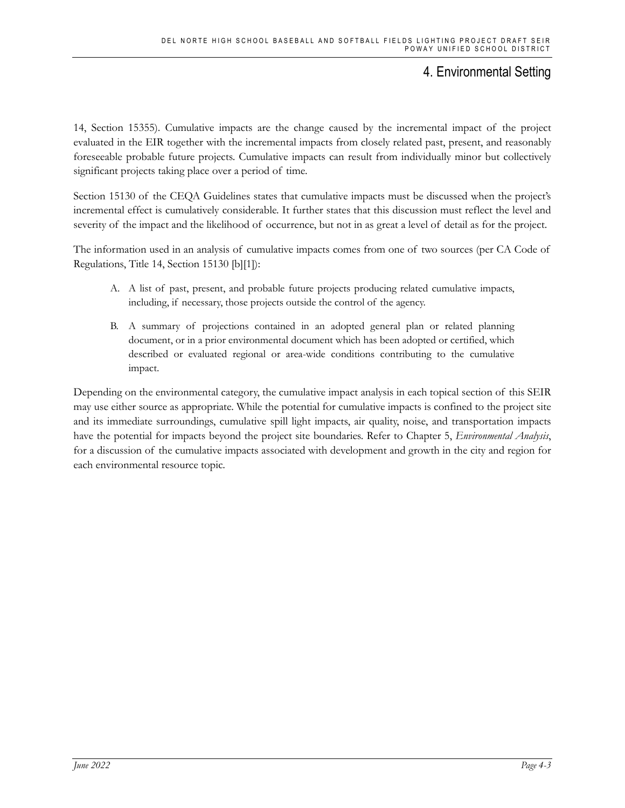14, Section 15355). Cumulative impacts are the change caused by the incremental impact of the project evaluated in the EIR together with the incremental impacts from closely related past, present, and reasonably foreseeable probable future projects. Cumulative impacts can result from individually minor but collectively significant projects taking place over a period of time.

Section 15130 of the CEQA Guidelines states that cumulative impacts must be discussed when the project's incremental effect is cumulatively considerable. It further states that this discussion must reflect the level and severity of the impact and the likelihood of occurrence, but not in as great a level of detail as for the project.

The information used in an analysis of cumulative impacts comes from one of two sources (per CA Code of Regulations, Title 14, Section 15130 [b][1]):

- A. A list of past, present, and probable future projects producing related cumulative impacts, including, if necessary, those projects outside the control of the agency.
- B. A summary of projections contained in an adopted general plan or related planning document, or in a prior environmental document which has been adopted or certified, which described or evaluated regional or area-wide conditions contributing to the cumulative impact.

Depending on the environmental category, the cumulative impact analysis in each topical section of this SEIR may use either source as appropriate. While the potential for cumulative impacts is confined to the project site and its immediate surroundings, cumulative spill light impacts, air quality, noise, and transportation impacts have the potential for impacts beyond the project site boundaries. Refer to Chapter 5, *Environmental Analysis*, for a discussion of the cumulative impacts associated with development and growth in the city and region for each environmental resource topic.